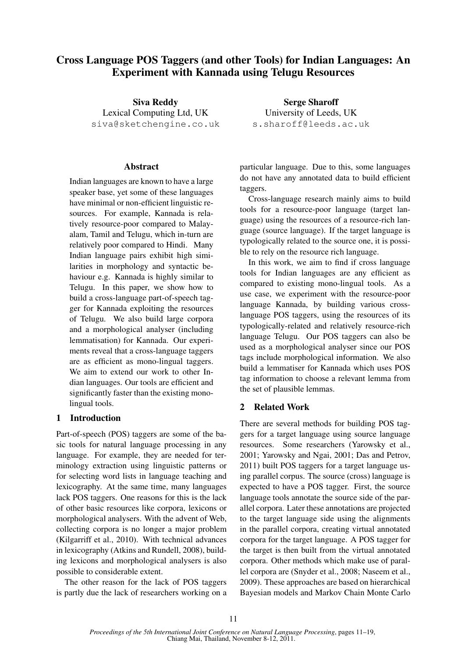# Cross Language POS Taggers (and other Tools) for Indian Languages: An Experiment with Kannada using Telugu Resources

Siva Reddy Lexical Computing Ltd, UK siva@sketchengine.co.uk

## Abstract

Indian languages are known to have a large speaker base, yet some of these languages have minimal or non-efficient linguistic resources. For example, Kannada is relatively resource-poor compared to Malayalam, Tamil and Telugu, which in-turn are relatively poor compared to Hindi. Many Indian language pairs exhibit high similarities in morphology and syntactic behaviour e.g. Kannada is highly similar to Telugu. In this paper, we show how to build a cross-language part-of-speech tagger for Kannada exploiting the resources of Telugu. We also build large corpora and a morphological analyser (including lemmatisation) for Kannada. Our experiments reveal that a cross-language taggers are as efficient as mono-lingual taggers. We aim to extend our work to other Indian languages. Our tools are efficient and significantly faster than the existing monolingual tools.

## 1 Introduction

Part-of-speech (POS) taggers are some of the basic tools for natural language processing in any language. For example, they are needed for terminology extraction using linguistic patterns or for selecting word lists in language teaching and lexicography. At the same time, many languages lack POS taggers. One reasons for this is the lack of other basic resources like corpora, lexicons or morphological analysers. With the advent of Web, collecting corpora is no longer a major problem (Kilgarriff et al., 2010). With technical advances in lexicography (Atkins and Rundell, 2008), building lexicons and morphological analysers is also possible to considerable extent.

The other reason for the lack of POS taggers is partly due the lack of researchers working on a

Serge Sharoff University of Leeds, UK s.sharoff@leeds.ac.uk

particular language. Due to this, some languages do not have any annotated data to build efficient taggers.

Cross-language research mainly aims to build tools for a resource-poor language (target language) using the resources of a resource-rich language (source language). If the target language is typologically related to the source one, it is possible to rely on the resource rich language.

In this work, we aim to find if cross language tools for Indian languages are any efficient as compared to existing mono-lingual tools. As a use case, we experiment with the resource-poor language Kannada, by building various crosslanguage POS taggers, using the resources of its typologically-related and relatively resource-rich language Telugu. Our POS taggers can also be used as a morphological analyser since our POS tags include morphological information. We also build a lemmatiser for Kannada which uses POS tag information to choose a relevant lemma from the set of plausible lemmas.

## 2 Related Work

There are several methods for building POS taggers for a target language using source language resources. Some researchers (Yarowsky et al., 2001; Yarowsky and Ngai, 2001; Das and Petrov, 2011) built POS taggers for a target language using parallel corpus. The source (cross) language is expected to have a POS tagger. First, the source language tools annotate the source side of the parallel corpora. Later these annotations are projected to the target language side using the alignments in the parallel corpora, creating virtual annotated corpora for the target language. A POS tagger for the target is then built from the virtual annotated corpora. Other methods which make use of parallel corpora are (Snyder et al., 2008; Naseem et al., 2009). These approaches are based on hierarchical Bayesian models and Markov Chain Monte Carlo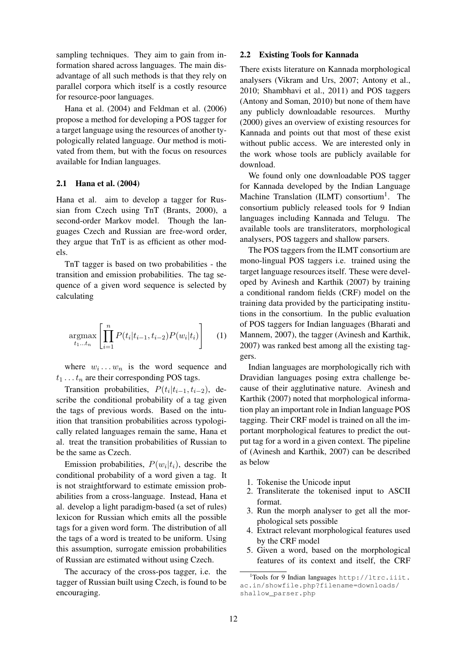sampling techniques. They aim to gain from information shared across languages. The main disadvantage of all such methods is that they rely on parallel corpora which itself is a costly resource for resource-poor languages.

Hana et al. (2004) and Feldman et al. (2006) propose a method for developing a POS tagger for a target language using the resources of another typologically related language. Our method is motivated from them, but with the focus on resources available for Indian languages.

#### 2.1 Hana et al. (2004)

Hana et al. aim to develop a tagger for Russian from Czech using TnT (Brants, 2000), a second-order Markov model. Though the languages Czech and Russian are free-word order, they argue that TnT is as efficient as other models.

TnT tagger is based on two probabilities - the transition and emission probabilities. The tag sequence of a given word sequence is selected by calculating

$$
\underset{t_1...t_n}{\text{argmax}} \left[ \prod_{i=1}^n P(t_i | t_{i-1}, t_{i-2}) P(w_i | t_i) \right] \tag{1}
$$

where  $w_i \dots w_n$  is the word sequence and  $t_1 \ldots t_n$  are their corresponding POS tags.

Transition probabilities,  $P(t_i|t_{i-1}, t_{i-2})$ , describe the conditional probability of a tag given the tags of previous words. Based on the intuition that transition probabilities across typologically related languages remain the same, Hana et al. treat the transition probabilities of Russian to be the same as Czech.

Emission probabilities,  $P(w_i|t_i)$ , describe the conditional probability of a word given a tag. It is not straightforward to estimate emission probabilities from a cross-language. Instead, Hana et al. develop a light paradigm-based (a set of rules) lexicon for Russian which emits all the possible tags for a given word form. The distribution of all the tags of a word is treated to be uniform. Using this assumption, surrogate emission probabilities of Russian are estimated without using Czech.

The accuracy of the cross-pos tagger, i.e. the tagger of Russian built using Czech, is found to be encouraging.

#### 2.2 Existing Tools for Kannada

There exists literature on Kannada morphological analysers (Vikram and Urs, 2007; Antony et al., 2010; Shambhavi et al., 2011) and POS taggers (Antony and Soman, 2010) but none of them have any publicly downloadable resources. Murthy (2000) gives an overview of existing resources for Kannada and points out that most of these exist without public access. We are interested only in the work whose tools are publicly available for download.

We found only one downloadable POS tagger for Kannada developed by the Indian Language Machine Translation (ILMT) consortium<sup>1</sup>. The consortium publicly released tools for 9 Indian languages including Kannada and Telugu. The available tools are transliterators, morphological analysers, POS taggers and shallow parsers.

The POS taggers from the ILMT consortium are mono-lingual POS taggers i.e. trained using the target language resources itself. These were developed by Avinesh and Karthik (2007) by training a conditional random fields (CRF) model on the training data provided by the participating institutions in the consortium. In the public evaluation of POS taggers for Indian languages (Bharati and Mannem, 2007), the tagger (Avinesh and Karthik, 2007) was ranked best among all the existing taggers.

Indian languages are morphologically rich with Dravidian languages posing extra challenge because of their agglutinative nature. Avinesh and Karthik (2007) noted that morphological information play an important role in Indian language POS tagging. Their CRF model is trained on all the important morphological features to predict the output tag for a word in a given context. The pipeline of (Avinesh and Karthik, 2007) can be described as below

- 1. Tokenise the Unicode input
- 2. Transliterate the tokenised input to ASCII format.
- 3. Run the morph analyser to get all the morphological sets possible
- 4. Extract relevant morphological features used by the CRF model
- 5. Given a word, based on the morphological features of its context and itself, the CRF

 $1$ Tools for 9 Indian languages http://ltrc.iiit. ac.in/showfile.php?filename=downloads/ shallow\_parser.php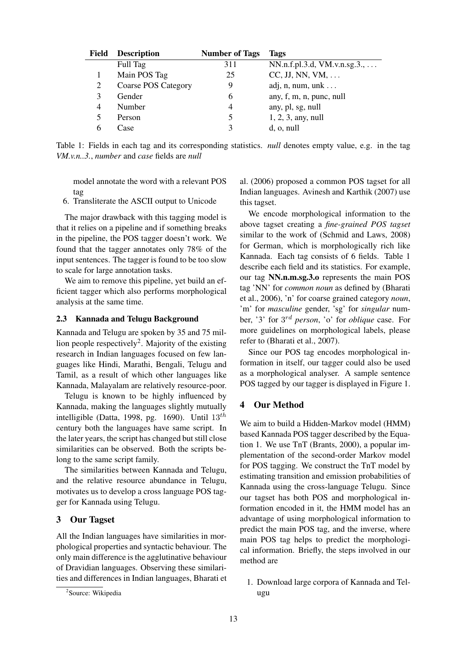| <b>Field</b> | <b>Description</b>         | <b>Number of Tags</b> | Tags                                  |
|--------------|----------------------------|-----------------------|---------------------------------------|
|              | Full Tag                   | 311                   | $NN.n.f.pl.3.d, VM.v.n.sg.3., \ldots$ |
|              | Main POS Tag               | 25                    | $CC, JJ, NN, VM, \ldots$              |
| 2            | <b>Coarse POS Category</b> | 9                     | adj, $n$ , $num$ , $unk$              |
| 3            | Gender                     | 6                     | any, f, m, n, punc, null              |
| 4            | Number                     | 4                     | any, pl, sg, null                     |
| 5            | Person                     | 5                     | $1, 2, 3,$ any, null                  |
|              | Case                       | ζ                     | $d$ , o, null                         |

Table 1: Fields in each tag and its corresponding statistics. *null* denotes empty value, e.g. in the tag *VM.v.n..3.*, *number* and *case* fields are *null*

model annotate the word with a relevant POS tag

6. Transliterate the ASCII output to Unicode

The major drawback with this tagging model is that it relies on a pipeline and if something breaks in the pipeline, the POS tagger doesn't work. We found that the tagger annotates only 78% of the input sentences. The tagger is found to be too slow to scale for large annotation tasks.

We aim to remove this pipeline, yet build an efficient tagger which also performs morphological analysis at the same time.

#### 2.3 Kannada and Telugu Background

Kannada and Telugu are spoken by 35 and 75 million people respectively<sup>2</sup>. Majority of the existing research in Indian languages focused on few languages like Hindi, Marathi, Bengali, Telugu and Tamil, as a result of which other languages like Kannada, Malayalam are relatively resource-poor.

Telugu is known to be highly influenced by Kannada, making the languages slightly mutually intelligible (Datta, 1998, pg. 1690). Until  $13^{th}$ century both the languages have same script. In the later years, the script has changed but still close similarities can be observed. Both the scripts belong to the same script family.

The similarities between Kannada and Telugu, and the relative resource abundance in Telugu, motivates us to develop a cross language POS tagger for Kannada using Telugu.

## 3 Our Tagset

All the Indian languages have similarities in morphological properties and syntactic behaviour. The only main difference is the agglutinative behaviour of Dravidian languages. Observing these similarities and differences in Indian languages, Bharati et al. (2006) proposed a common POS tagset for all Indian languages. Avinesh and Karthik (2007) use this tagset.

We encode morphological information to the above tagset creating a *fine-grained POS tagset* similar to the work of (Schmid and Laws, 2008) for German, which is morphologically rich like Kannada. Each tag consists of 6 fields. Table 1 describe each field and its statistics. For example, our tag NN.n.m.sg.3.o represents the main POS tag 'NN' for *common noun* as defined by (Bharati et al., 2006), 'n' for coarse grained category *noun*, 'm' for *masculine* gender, 'sg' for *singular* number, '3' for 3 rd *person*, 'o' for *oblique* case. For more guidelines on morphological labels, please refer to (Bharati et al., 2007).

Since our POS tag encodes morphological information in itself, our tagger could also be used as a morphological analyser. A sample sentence POS tagged by our tagger is displayed in Figure 1.

## 4 Our Method

We aim to build a Hidden-Markov model (HMM) based Kannada POS tagger described by the Equation 1. We use TnT (Brants, 2000), a popular implementation of the second-order Markov model for POS tagging. We construct the TnT model by estimating transition and emission probabilities of Kannada using the cross-language Telugu. Since our tagset has both POS and morphological information encoded in it, the HMM model has an advantage of using morphological information to predict the main POS tag, and the inverse, where main POS tag helps to predict the morphological information. Briefly, the steps involved in our method are

1. Download large corpora of Kannada and Telugu

<sup>&</sup>lt;sup>2</sup>Source: Wikipedia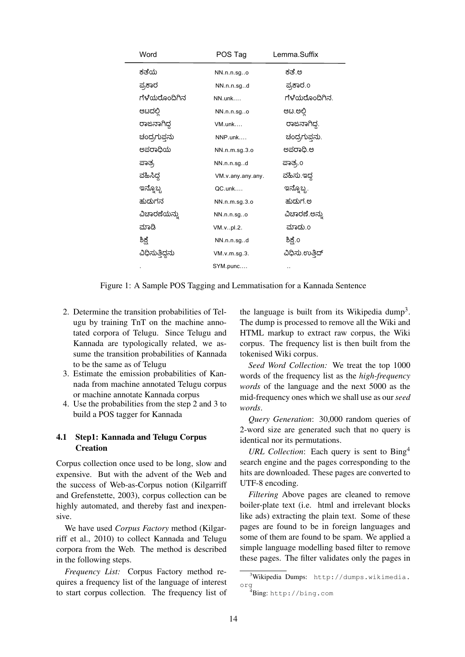| Word            | POS Tag           | Lemma.Suffix   |
|-----------------|-------------------|----------------|
| ಕತೆಯ            | NN.n.n.sgo        | ಕತೆ.ಅ          |
| ಪ್ರಕಾರ          | NN.n.n.sgd        | ಪ್ರಕಾರ.೦       |
| ಗೆಳೆಯರೊಂದಿಗಿನ   | NN.unk            | ಗೆಳೆಯರೊಂದಿಗಿನ. |
| ಆಟದಲ್ಲಿ         | NN.n.n.sgo        | ಆಟ.ಅಲ್ಲಿ       |
| ರಾಜನಾಗಿದ್ದ      | VM.unk            | ರಾಜನಾಗಿದ್ದ.    |
| ಚಂದ್ರಗುಪ್ತನು    | NNP.unk           | ಚಂದ್ರಗುಪ್ತನು.  |
| ಅಪರಾಧಿಯ         | NN.n.m.sg.3.o     | ಅಪರಾಧಿ.ಅ       |
| ಪಾತ್ರ           | NN.n.n.sgd        | ಪಾತ್ರ.೦        |
| ವಹಿಸಿದ್ದ        | VM.v.any.any.any. | ವಹಿಸು.ಇದ್ದ     |
| ಇನ್ನೊಬ್ಬ        | QC.unk            | ಇನ್ನೊಬ್ಬ.      |
| ಹುದುಗನ          | NN.n.m.sg.3.o     | ಹುದುಗ ಅ        |
| ವಿಚಾರಣೆಯನ್ನು    | NN.n.n.sg.o       | ವಿಚಾರಣೆ.ಅನ್ನು  |
| ಮಾಡಿ            | VM.vpl.2.         | ಮಾಡು.o         |
| ಶಿಕ್ಷೆ          | NN.n.n.sgd        | ಶಿಕ್ಷೆ.೦       |
| ವಿಧಿಸುತ್ತಿದ್ದನು | VM.v.m.sg.3.      | ವಿಧಿಸು.ಉತ್ತಿದ್ |
|                 | SYM.punc          |                |

Figure 1: A Sample POS Tagging and Lemmatisation for a Kannada Sentence

- 2. Determine the transition probabilities of Telugu by training TnT on the machine annotated corpora of Telugu. Since Telugu and Kannada are typologically related, we assume the transition probabilities of Kannada to be the same as of Telugu
- 3. Estimate the emission probabilities of Kannada from machine annotated Telugu corpus or machine annotate Kannada corpus
- 4. Use the probabilities from the step 2 and 3 to build a POS tagger for Kannada

## 4.1 Step1: Kannada and Telugu Corpus **Creation**

Corpus collection once used to be long, slow and expensive. But with the advent of the Web and the success of Web-as-Corpus notion (Kilgarriff and Grefenstette, 2003), corpus collection can be highly automated, and thereby fast and inexpensive.

We have used *Corpus Factory* method (Kilgarriff et al., 2010) to collect Kannada and Telugu corpora from the Web. The method is described in the following steps.

*Frequency List:* Corpus Factory method requires a frequency list of the language of interest to start corpus collection. The frequency list of

the language is built from its Wikipedia dump<sup>3</sup>. The dump is processed to remove all the Wiki and HTML markup to extract raw corpus, the Wiki corpus. The frequency list is then built from the tokenised Wiki corpus.

*Seed Word Collection:* We treat the top 1000 words of the frequency list as the *high-frequency words* of the language and the next 5000 as the mid-frequency ones which we shall use as our*seed words*.

*Query Generation*: 30,000 random queries of 2-word size are generated such that no query is identical nor its permutations.

*URL Collection*: Each query is sent to Bing<sup>4</sup> search engine and the pages corresponding to the hits are downloaded. These pages are converted to UTF-8 encoding.

*Filtering* Above pages are cleaned to remove boiler-plate text (i.e. html and irrelevant blocks like ads) extracting the plain text. Some of these pages are found to be in foreign languages and some of them are found to be spam. We applied a simple language modelling based filter to remove these pages. The filter validates only the pages in

<sup>3</sup>Wikipedia Dumps: http://dumps.wikimedia. org

<sup>4</sup>Bing: http://bing.com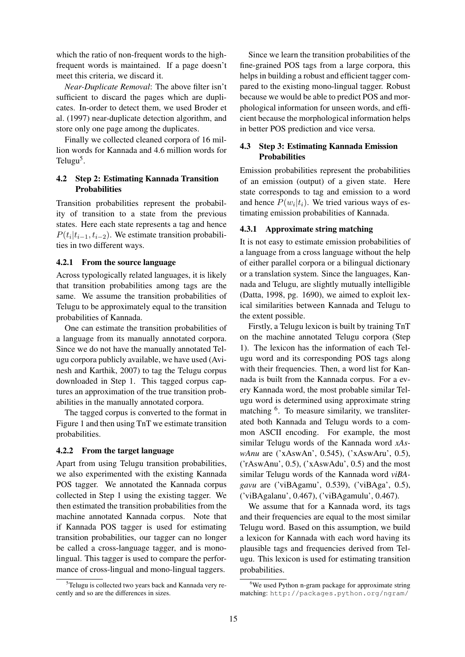which the ratio of non-frequent words to the highfrequent words is maintained. If a page doesn't meet this criteria, we discard it.

*Near-Duplicate Removal*: The above filter isn't sufficient to discard the pages which are duplicates. In-order to detect them, we used Broder et al. (1997) near-duplicate detection algorithm, and store only one page among the duplicates.

Finally we collected cleaned corpora of 16 million words for Kannada and 4.6 million words for Telugu<sup>5</sup>.

## 4.2 Step 2: Estimating Kannada Transition **Probabilities**

Transition probabilities represent the probability of transition to a state from the previous states. Here each state represents a tag and hence  $P(t_i|t_{i-1}, t_{i-2})$ . We estimate transition probabilities in two different ways.

## 4.2.1 From the source language

Across typologically related languages, it is likely that transition probabilities among tags are the same. We assume the transition probabilities of Telugu to be approximately equal to the transition probabilities of Kannada.

One can estimate the transition probabilities of a language from its manually annotated corpora. Since we do not have the manually annotated Telugu corpora publicly available, we have used (Avinesh and Karthik, 2007) to tag the Telugu corpus downloaded in Step 1. This tagged corpus captures an approximation of the true transition probabilities in the manually annotated corpora.

The tagged corpus is converted to the format in Figure 1 and then using TnT we estimate transition probabilities.

#### 4.2.2 From the target language

Apart from using Telugu transition probabilities, we also experimented with the existing Kannada POS tagger. We annotated the Kannada corpus collected in Step 1 using the existing tagger. We then estimated the transition probabilities from the machine annotated Kannada corpus. Note that if Kannada POS tagger is used for estimating transition probabilities, our tagger can no longer be called a cross-language tagger, and is monolingual. This tagger is used to compare the performance of cross-lingual and mono-lingual taggers.

Since we learn the transition probabilities of the fine-grained POS tags from a large corpora, this helps in building a robust and efficient tagger compared to the existing mono-lingual tagger. Robust because we would be able to predict POS and morphological information for unseen words, and efficient because the morphological information helps in better POS prediction and vice versa.

## 4.3 Step 3: Estimating Kannada Emission **Probabilities**

Emission probabilities represent the probabilities of an emission (output) of a given state. Here state corresponds to tag and emission to a word and hence  $P(w_i|t_i)$ . We tried various ways of estimating emission probabilities of Kannada.

## 4.3.1 Approximate string matching

It is not easy to estimate emission probabilities of a language from a cross language without the help of either parallel corpora or a bilingual dictionary or a translation system. Since the languages, Kannada and Telugu, are slightly mutually intelligible (Datta, 1998, pg. 1690), we aimed to exploit lexical similarities between Kannada and Telugu to the extent possible.

Firstly, a Telugu lexicon is built by training TnT on the machine annotated Telugu corpora (Step 1). The lexicon has the information of each Telugu word and its corresponding POS tags along with their frequencies. Then, a word list for Kannada is built from the Kannada corpus. For a every Kannada word, the most probable similar Telugu word is determined using approximate string matching <sup>6</sup>. To measure similarity, we transliterated both Kannada and Telugu words to a common ASCII encoding. For example, the most similar Telugu words of the Kannada word *xAswAnu* are ('xAswAn', 0.545), ('xAswAru', 0.5), ('rAswAnu', 0.5), ('xAswAdu', 0.5) and the most similar Telugu words of the Kannada word *viBAgavu* are ('viBAgamu', 0.539), ('viBAga', 0.5), ('viBAgalanu', 0.467), ('viBAgamulu', 0.467).

We assume that for a Kannada word, its tags and their frequencies are equal to the most similar Telugu word. Based on this assumption, we build a lexicon for Kannada with each word having its plausible tags and frequencies derived from Telugu. This lexicon is used for estimating transition probabilities.

<sup>&</sup>lt;sup>5</sup>Telugu is collected two years back and Kannada very recently and so are the differences in sizes.

 $6$ We used Python n-gram package for approximate string matching: http://packages.python.org/ngram/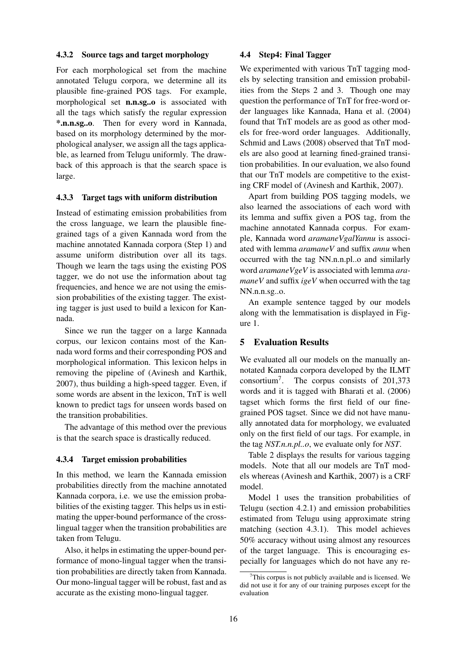#### 4.3.2 Source tags and target morphology

For each morphological set from the machine annotated Telugu corpora, we determine all its plausible fine-grained POS tags. For example, morphological set n.n.sg..o is associated with all the tags which satisfy the regular expression \*.n.n.sg..o. Then for every word in Kannada, based on its morphology determined by the morphological analyser, we assign all the tags applicable, as learned from Telugu uniformly. The drawback of this approach is that the search space is large.

#### 4.3.3 Target tags with uniform distribution

Instead of estimating emission probabilities from the cross language, we learn the plausible finegrained tags of a given Kannada word from the machine annotated Kannada corpora (Step 1) and assume uniform distribution over all its tags. Though we learn the tags using the existing POS tagger, we do not use the information about tag frequencies, and hence we are not using the emission probabilities of the existing tagger. The existing tagger is just used to build a lexicon for Kannada.

Since we run the tagger on a large Kannada corpus, our lexicon contains most of the Kannada word forms and their corresponding POS and morphological information. This lexicon helps in removing the pipeline of (Avinesh and Karthik, 2007), thus building a high-speed tagger. Even, if some words are absent in the lexicon, TnT is well known to predict tags for unseen words based on the transition probabilities.

The advantage of this method over the previous is that the search space is drastically reduced.

#### 4.3.4 Target emission probabilities

In this method, we learn the Kannada emission probabilities directly from the machine annotated Kannada corpora, i.e. we use the emission probabilities of the existing tagger. This helps us in estimating the upper-bound performance of the crosslingual tagger when the transition probabilities are taken from Telugu.

Also, it helps in estimating the upper-bound performance of mono-lingual tagger when the transition probabilities are directly taken from Kannada. Our mono-lingual tagger will be robust, fast and as accurate as the existing mono-lingual tagger.

#### 4.4 Step4: Final Tagger

We experimented with various TnT tagging models by selecting transition and emission probabilities from the Steps 2 and 3. Though one may question the performance of TnT for free-word order languages like Kannada, Hana et al. (2004) found that TnT models are as good as other models for free-word order languages. Additionally, Schmid and Laws (2008) observed that TnT models are also good at learning fined-grained transition probabilities. In our evaluation, we also found that our TnT models are competitive to the existing CRF model of (Avinesh and Karthik, 2007).

Apart from building POS tagging models, we also learned the associations of each word with its lemma and suffix given a POS tag, from the machine annotated Kannada corpus. For example, Kannada word *aramaneVgalYannu* is associated with lemma *aramaneV* and suffix *annu* when occurred with the tag NN.n.n.pl..o and similarly word *aramaneVgeV* is associated with lemma *aramaneV* and suffix *igeV* when occurred with the tag NN.n.n.sg..o.

An example sentence tagged by our models along with the lemmatisation is displayed in Figure 1.

#### 5 Evaluation Results

We evaluated all our models on the manually annotated Kannada corpora developed by the ILMT  $\text{consortium}^7$ . The corpus consists of 201,373 words and it is tagged with Bharati et al. (2006) tagset which forms the first field of our finegrained POS tagset. Since we did not have manually annotated data for morphology, we evaluated only on the first field of our tags. For example, in the tag *NST.n.n.pl..o*, we evaluate only for *NST*.

Table 2 displays the results for various tagging models. Note that all our models are TnT models whereas (Avinesh and Karthik, 2007) is a CRF model.

Model 1 uses the transition probabilities of Telugu (section 4.2.1) and emission probabilities estimated from Telugu using approximate string matching (section 4.3.1). This model achieves 50% accuracy without using almost any resources of the target language. This is encouraging especially for languages which do not have any re-

This corpus is not publicly available and is licensed. We did not use it for any of our training purposes except for the evaluation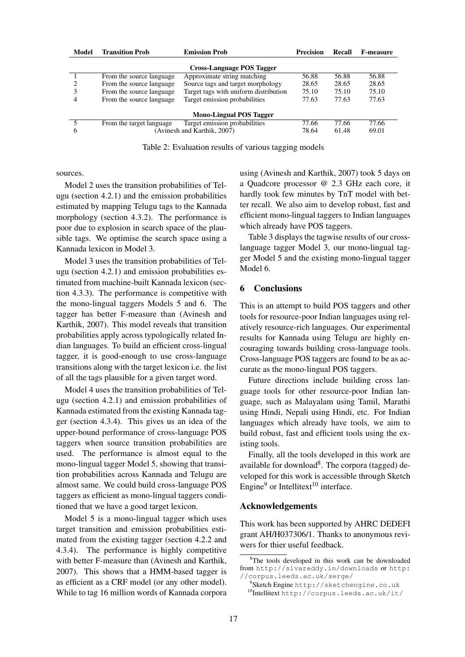| Model                            | <b>Transition Prob</b>    | <b>Emission Prob</b>                  | <b>Precision</b> | Recall | <b>F-measure</b> |  |  |  |
|----------------------------------|---------------------------|---------------------------------------|------------------|--------|------------------|--|--|--|
| <b>Cross-Language POS Tagger</b> |                           |                                       |                  |        |                  |  |  |  |
|                                  | From the source language. | Approximate string matching           | 56.88            | 56.88  | 56.88            |  |  |  |
|                                  | From the source language  | Source tags and target morphology     | 28.65            | 28.65  | 28.65            |  |  |  |
|                                  | From the source language  | Target tags with uniform distribution | 75.10            | 75.10  | 75.10            |  |  |  |
| 4                                | From the source language  | Target emission probabilities         | 77.63            | 77.63  | 77.63            |  |  |  |
| <b>Mono-Lingual POS Tagger</b>   |                           |                                       |                  |        |                  |  |  |  |
|                                  | From the target language  | Target emission probabilities         | 77.66            | 77.66  | 77.66            |  |  |  |
| 6                                |                           | (Avinesh and Karthik, 2007)           | 78.64            | 61.48  | 69.01            |  |  |  |

Table 2: Evaluation results of various tagging models

sources.

Model 2 uses the transition probabilities of Telugu (section 4.2.1) and the emission probabilities estimated by mapping Telugu tags to the Kannada morphology (section 4.3.2). The performance is poor due to explosion in search space of the plausible tags. We optimise the search space using a Kannada lexicon in Model 3.

Model 3 uses the transition probabilities of Telugu (section 4.2.1) and emission probabilities estimated from machine-built Kannada lexicon (section 4.3.3). The performance is competitive with the mono-lingual taggers Models 5 and 6. The tagger has better F-measure than (Avinesh and Karthik, 2007). This model reveals that transition probabilities apply across typologically related Indian languages. To build an efficient cross-lingual tagger, it is good-enough to use cross-language transitions along with the target lexicon i.e. the list of all the tags plausible for a given target word.

Model 4 uses the transition probabilities of Telugu (section 4.2.1) and emission probabilities of Kannada estimated from the existing Kannada tagger (section 4.3.4). This gives us an idea of the upper-bound performance of cross-language POS taggers when source transition probabilities are used. The performance is almost equal to the mono-lingual tagger Model 5, showing that transition probabilities across Kannada and Telugu are almost same. We could build cross-language POS taggers as efficient as mono-lingual taggers conditioned that we have a good target lexicon.

Model 5 is a mono-lingual tagger which uses target transition and emission probabilities estimated from the existing tagger (section 4.2.2 and 4.3.4). The performance is highly competitive with better F-measure than (Avinesh and Karthik, 2007). This shows that a HMM-based tagger is as efficient as a CRF model (or any other model). While to tag 16 million words of Kannada corpora using (Avinesh and Karthik, 2007) took 5 days on a Quadcore processor @ 2.3 GHz each core, it hardly took few minutes by TnT model with better recall. We also aim to develop robust, fast and efficient mono-lingual taggers to Indian languages which already have POS taggers.

Table 3 displays the tagwise results of our crosslanguage tagger Model 3, our mono-lingual tagger Model 5 and the existing mono-lingual tagger Model 6.

## 6 Conclusions

This is an attempt to build POS taggers and other tools for resource-poor Indian languages using relatively resource-rich languages. Our experimental results for Kannada using Telugu are highly encouraging towards building cross-language tools. Cross-language POS taggers are found to be as accurate as the mono-lingual POS taggers.

Future directions include building cross language tools for other resource-poor Indian language, such as Malayalam using Tamil, Marathi using Hindi, Nepali using Hindi, etc. For Indian languages which already have tools, we aim to build robust, fast and efficient tools using the existing tools.

Finally, all the tools developed in this work are available for download<sup>8</sup>. The corpora (tagged) developed for this work is accessible through Sketch Engine<sup>9</sup> or Intellitext<sup>10</sup> interface.

#### Acknowledgements

This work has been supported by AHRC DEDEFI grant AH/H037306/1. Thanks to anonymous reviwers for thier useful feedback.

<sup>&</sup>lt;sup>8</sup>The tools developed in this work can be downloaded from http://sivareddy.in/downloads or http: //corpus.leeds.ac.uk/serge/

<sup>9</sup> Sketch Engine http://sketchengine.co.uk

<sup>10</sup>Intellitext http://corpus.leeds.ac.uk/it/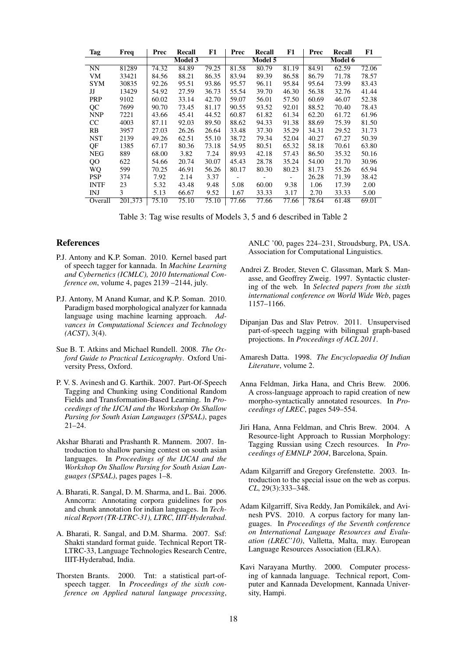| Tag           | Freq    | Prec  | Recall         | F1    | Prec  | Recall  | F1    | Prec  | Recall  | F1    |
|---------------|---------|-------|----------------|-------|-------|---------|-------|-------|---------|-------|
|               |         |       | <b>Model 3</b> |       |       | Model 5 |       |       | Model 6 |       |
| <b>NN</b>     | 81289   | 74.32 | 84.89          | 79.25 | 81.58 | 80.79   | 81.19 | 84.91 | 62.59   | 72.06 |
| VM            | 33421   | 84.56 | 88.21          | 86.35 | 83.94 | 89.39   | 86.58 | 86.79 | 71.78   | 78.57 |
| <b>SYM</b>    | 30835   | 92.26 | 95.51          | 93.86 | 95.57 | 96.11   | 95.84 | 95.64 | 73.99   | 83.43 |
| IJ            | 13429   | 54.92 | 27.59          | 36.73 | 55.54 | 39.70   | 46.30 | 56.38 | 32.76   | 41.44 |
| <b>PRP</b>    | 9102    | 60.02 | 33.14          | 42.70 | 59.07 | 56.01   | 57.50 | 60.69 | 46.07   | 52.38 |
| QC            | 7699    | 90.70 | 73.45          | 81.17 | 90.55 | 93.52   | 92.01 | 88.52 | 70.40   | 78.43 |
| <b>NNP</b>    | 7221    | 43.66 | 45.41          | 44.52 | 60.87 | 61.82   | 61.34 | 62.20 | 61.72   | 61.96 |
| <sub>CC</sub> | 4003    | 87.11 | 92.03          | 89.50 | 88.62 | 94.33   | 91.38 | 88.69 | 75.39   | 81.50 |
| RB            | 3957    | 27.03 | 26.26          | 26.64 | 33.48 | 37.30   | 35.29 | 34.31 | 29.52   | 31.73 |
| <b>NST</b>    | 2139    | 49.26 | 62.51          | 55.10 | 38.72 | 79.34   | 52.04 | 40.27 | 67.27   | 50.39 |
| QF            | 1385    | 67.17 | 80.36          | 73.18 | 54.95 | 80.51   | 65.32 | 58.18 | 70.61   | 63.80 |
| <b>NEG</b>    | 889     | 68.00 | 3.82           | 7.24  | 89.93 | 42.18   | 57.43 | 86.50 | 35.32   | 50.16 |
| QO            | 622     | 54.66 | 20.74          | 30.07 | 45.43 | 28.78   | 35.24 | 54.00 | 21.70   | 30.96 |
| WQ            | 599     | 70.25 | 46.91          | 56.26 | 80.17 | 80.30   | 80.23 | 81.73 | 55.26   | 65.94 |
| <b>PSP</b>    | 374     | 7.92  | 2.14           | 3.37  |       |         |       | 26.28 | 71.39   | 38.42 |
| <b>INTF</b>   | 23      | 5.32  | 43.48          | 9.48  | 5.08  | 60.00   | 9.38  | 1.06  | 17.39   | 2.00  |
| INJ           | 3       | 5.13  | 66.67          | 9.52  | 1.67  | 33.33   | 3.17  | 2.70  | 33.33   | 5.00  |
| Overall       | 201,373 | 75.10 | 75.10          | 75.10 | 77.66 | 77.66   | 77.66 | 78.64 | 61.48   | 69.01 |

Table 3: Tag wise results of Models 3, 5 and 6 described in Table 2

#### References

- P.J. Antony and K.P. Soman. 2010. Kernel based part of speech tagger for kannada. In *Machine Learning and Cybernetics (ICMLC), 2010 International Conference on*, volume 4, pages 2139 –2144, july.
- P.J. Antony, M Anand Kumar, and K.P. Soman. 2010. Paradigm based morphological analyzer for kannada language using machine learning approach. *Advances in Computational Sciences and Technology (ACST)*, 3(4).
- Sue B. T. Atkins and Michael Rundell. 2008. *The Oxford Guide to Practical Lexicography*. Oxford University Press, Oxford.
- P. V. S. Avinesh and G. Karthik. 2007. Part-Of-Speech Tagging and Chunking using Conditional Random Fields and Transformation-Based Learning. In *Proceedings of the IJCAI and the Workshop On Shallow Parsing for South Asian Languages (SPSAL)*, pages 21–24.
- Akshar Bharati and Prashanth R. Mannem. 2007. Introduction to shallow parsing contest on south asian languages. In *Proceedings of the IJCAI and the Workshop On Shallow Parsing for South Asian Languages (SPSAL)*, pages pages 1–8.
- A. Bharati, R. Sangal, D. M. Sharma, and L. Bai. 2006. Anncorra: Annotating corpora guidelines for pos and chunk annotation for indian languages. In *Technical Report (TR-LTRC-31), LTRC, IIIT-Hyderabad*.
- A. Bharati, R. Sangal, and D.M. Sharma. 2007. Ssf: Shakti standard format guide. Technical Report TR-LTRC-33, Language Technologies Research Centre, IIIT-Hyderabad, India.
- Thorsten Brants. 2000. Tnt: a statistical part-ofspeech tagger. In *Proceedings of the sixth conference on Applied natural language processing*,

ANLC '00, pages 224–231, Stroudsburg, PA, USA. Association for Computational Linguistics.

- Andrei Z. Broder, Steven C. Glassman, Mark S. Manasse, and Geoffrey Zweig. 1997. Syntactic clustering of the web. In *Selected papers from the sixth international conference on World Wide Web*, pages 1157–1166.
- Dipanjan Das and Slav Petrov. 2011. Unsupervised part-of-speech tagging with bilingual graph-based projections. In *Proceedings of ACL 2011*.
- Amaresh Datta. 1998. *The Encyclopaedia Of Indian Literature*, volume 2.
- Anna Feldman, Jirka Hana, and Chris Brew. 2006. A cross-language approach to rapid creation of new morpho-syntactically annotated resources. In *Proceedings of LREC*, pages 549–554.
- Jiri Hana, Anna Feldman, and Chris Brew. 2004. A Resource-light Approach to Russian Morphology: Tagging Russian using Czech resources. In *Proceedings of EMNLP 2004*, Barcelona, Spain.
- Adam Kilgarriff and Gregory Grefenstette. 2003. Introduction to the special issue on the web as corpus. *CL*, 29(3):333–348.
- Adam Kilgarriff, Siva Reddy, Jan Pomikalek, and Avi- ´ nesh PVS. 2010. A corpus factory for many languages. In *Proceedings of the Seventh conference on International Language Resources and Evaluation (LREC'10)*, Valletta, Malta, may. European Language Resources Association (ELRA).
- Kavi Narayana Murthy. 2000. Computer processing of kannada language. Technical report, Computer and Kannada Development, Kannada University, Hampi.